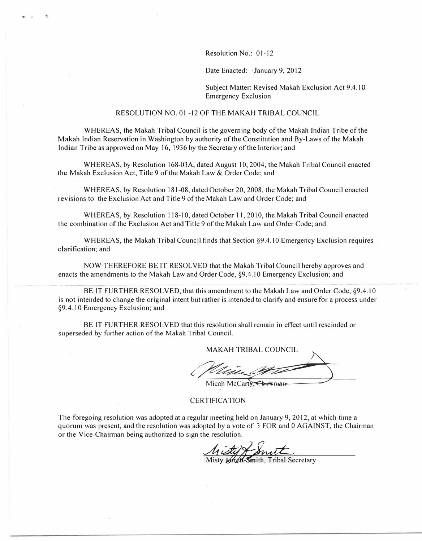Resolution No.: 01-12

Date Enacted: January 9, 2012

Subject Matter: Revised Makah Exclusion Act 9.4.10 Emergency Exclusion

#### RESOLUTION NO. 01 -12 OF THE MAKAH TRIBAL COUNCIL

WHEREAS, the Makah Tribal Council is the governing body of the Makah Indian Tribe of the Makah Indian Reservation in Washington by authority of the Constitution and By-Laws of the Makah Indian Tribe as approved on May 16, 1936 by the Secretary of the Interior; and

WHEREAS, by Resolution 168-03A, dated August 10, 2004, the Makah Tribal Council enacted the Makah Exclusion Act, Title 9 of the Makah Law & Order Code; and

WHEREAS, by Resolution 181-08, dated October 20, 2008, the Makah Tribal Council enacted revisions to the Exclusion Act and Title 9 of the Makah Law and Order Code; and

WHEREAS, by Resolution 118-10, dated October 11, 2010, the Makah Tribal Council enacted the combination of the Exclusion Act and Title 9 of the Makah Law and Order Code; and

WHEREAS, the Makah Tribal Council finds that Section §9.4.10 Emergency Exclusion requires clarification; and

NOW THEREFORE BE IT RESOLVED that the Makah Tribal Council hereby approves and enacts the amendments to the Makah Law and Order Code, §9.4. 10 Emergency Exclusion; and

BE IT FURTHER RESOLVED, that this amendment to the Makah Law and Order Code, §9.4.10 is not intended to change the original intent but rather is intended to clarify and ensure for a process under §9.4.10 Emergency Exclusion; and

BE IT FURTHER RESOLVED that this resolution shall remain in effect until rescinded or superseded by further action of the Makah Tribal Council.

MAKAH TRIBAL COUNCIL

MARAH INBAL COONCIL

#### CERTIFICATION

The foregoing resolution was adopted at a regular meeting held on January 9, 2012, at which time a quorum was present, and the resolution was adopted by a vote of 3 FOR and O AGAINST, the Chairman or the Vice-Chairman being authorized to sign the resolution.

*<u>Aisty & Smith</u>*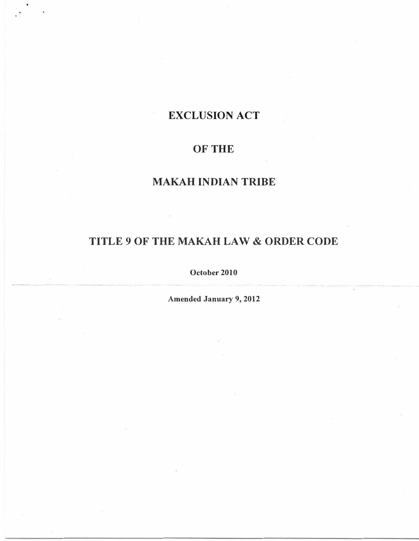# **EXCLUSION ACT**

. '

# **OF THE**

# **MAKAH INDIAN TRIBE**

# **TITLE 9 OF THE MAKAH LAW & ORDER CODE**

**October 2010** 

**Amended January 9, 2012**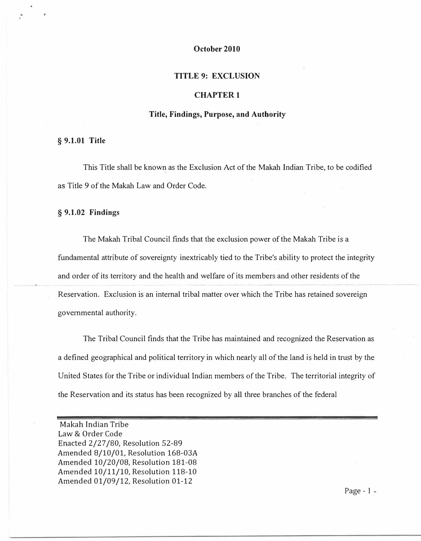# **October 2010**

### **TITLE 9: EXCLUSION**

#### **CHAPTER 1**

## **Title, Findings, Purpose, and Authority**

# **§ 9.1.01 Title**

This Title shall be known as the Exclusion Act of the Makah Indian Tribe, to be codified as Title 9 of the Makah Law and Order Code.

# **§ 9.1.02 Findings**

The Makah Tribal Council finds that the exclusion power of the Makah Tribe is a fundamental attribute of sovereignty inextricably tied to the Tribe's ability to protect the integrity and order of its territory and the health and welfare of its members and other residents of the Reservation. Exclusion is an internal tribal matter over which the Tribe has retained sovereign governmental authority.

The Tribal Council finds that the Tribe has maintained and recognized the Reservation as a defined geographical and political territory in which nearly all of the land is held in trust by the United States for the Tribe or individual Indian members of the Tribe. The territorial integrity of the Reservation and its status has been recognized by all three branches of the federal

Page - 1

Makah Indian Tribe Law & Order Code Enacted 2/27 /80, Resolution 52-89 Amended 8/10/01, Resolution 168-03A Amended 10/20/08, Resolution 181-08 Amended 10/11/10, Resolution 118-10 Amended 01/09/12, Resolution 01-12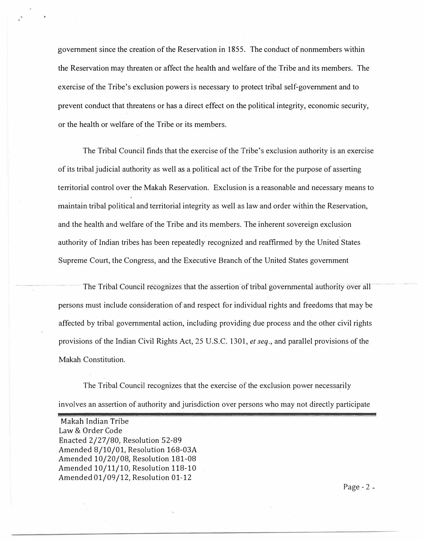government since the creation of the Reservation in 1855. The conduct of nonmembers within the Reservation may threaten or affect the health and welfare of the Tribe and its members. The exercise of the Tribe's exclusion powers is necessary to protect tribal self-government and to prevent conduct that threatens or has a direct effect on the political integrity, economic security, or the health or welfare of the Tribe or its members.

The Tribal Council finds that the exercise of the Tribe's exclusion authority is an exercise of its tribal judicial authority as well as a political act of the Tribe for the purpose of asserting territorial control over the Makah Reservation. Exclusion is a reasonable and necessary means to maintain tribal political and territorial integrity as well as law and order within the Reservation, and the health and welfare of the Tribe and its members. The inherent sovereign exclusion authority of Indian tribes has been repeatedly recognized and reaffirmed by the United States Supreme Court, the Congress, and the Executive Branch of the United States government

The Tribal Council recognizes that the assertion of tribal governmental authority over all persons must include consideration of and respect for individual rights and freedoms that may be affected by tribal governmental action, including providing due process and the other civil rights provisions of the Indian Civil Rights Act, 25 U.S.C. 1301, *et seq.,* and parallel provisions of the Makah Constitution.

The Tribal Council recognizes that the exercise of the exclusion power necessarily involves an assertion of authority and jurisdiction over persons who may not directly participate

Makah Indian Tribe Law & Order Code Enacted 2/27 /80, Resolution 52-89 Amended 8/10/01, Resolution 168-03A Amended 10/20/08, Resolution 181-08 Amended 10/11/10, Resolution 118-10 Amended 01/09/12, Resolution 01-12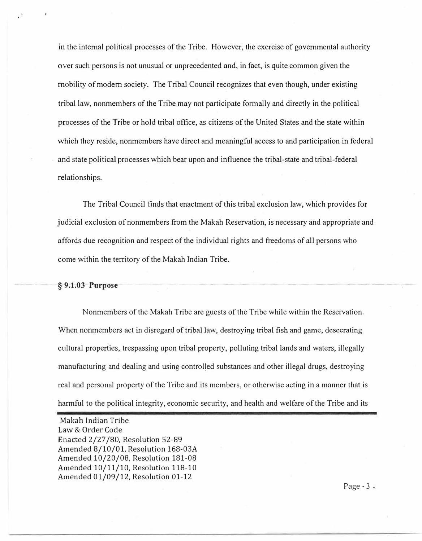in the internal political processes of the Tribe. However, the exercise of governmental authority over such persons is not unusual or unprecedented and, in fact, is quite common given the mobility of modem society. The Tribal Council recognizes that even though, under existing tribal law, nonmembers of the Tribe may not participate formally and directly in the political processes of the Tribe or hold tribal office, as citizens of the United States and the state within which they reside, nonmembers have direct and meaningful access to and participation in federal and state political processes which bear upon and influence the tribal-state and tribal-federal relationships.

The Tribal Council finds that enactment of this tribal exclusion law, which provides for judicial exclusion of nonmembers from the Makah Reservation, is necessary and appropriate and affords due recognition and respect of the individual rights and freedoms of all persons who come within the territory of the Makah Indian Tribe.

# *<u>§9.1.03 Purpose</u>*

Nonmembers of the Makah Tribe are guests of the Tribe while within the Reservation. When nonmembers act in disregard of tribal law, destroying tribal fish and game, desecrating cultural properties, trespassing upon tribal property, polluting tribal lands and waters, illegally manufacturing and dealing and using controlled substances and other illegal drugs, destroying real and personal property of the Tribe and its members, or otherwise acting in a manner that is harmful to the political integrity, economic security, and health and welfare of the Tribe and its

Makah Indian Tribe Law & Order Code Enacted 2/27 /80, Resolution 52-89 Amended 8/10/01, Resolution 168-03A Amended 10/20/08, Resolution 181-08 Amended 10/11/10, Resolution 118-10 Amended 01/09/12, Resolution 01-12

Page  $-3 -$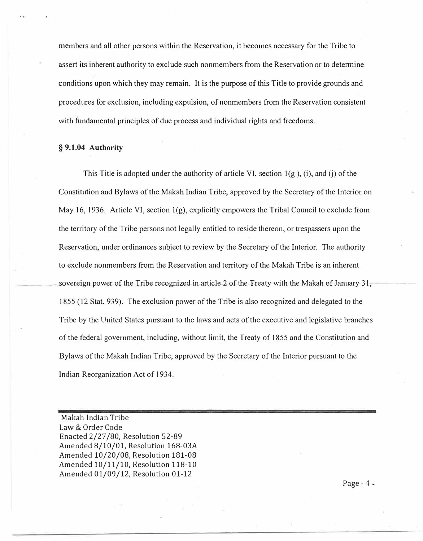members and all other persons within the Reservation, it becomes necessary for the Tribe to assert its inherent authority to exclude such nonmembers from the Reservation or to detennine conditions upon which they may remain. It is the purpose of this Title to provide grounds and procedures for exclusion, including expulsion, of nonmembers from the Reservation consistent with fundamental principles of due process and individual rights and freedoms.

## **§ 9.1.04 Authority**

This Title is adopted under the authority of article VI, section  $1(g)$ , (i), and (j) of the Constitution and Bylaws of the Makah Indian Tribe, approved by the Secretary of the Interior on May 16, 1936. Article VI, section  $1(g)$ , explicitly empowers the Tribal Council to exclude from the territory of the Tribe persons not legally entitled to reside thereon, or trespassers upon the Reservation, under ordinances subject to review by the Secretary of the Interior. The authority to exclude nonmembers from the Reservation and territory of the Makah Tribe is an inherent sovereign power of the Tribe recognized in article 2 of the Treaty with the Makah of January  $31$ , 1855 (12 Stat. 939). The exclusion power of the Tribe is also recognized and delegated to the Tribe by the United States pursuant to the laws and acts of the executive and legislative branches of the federal government, including, without limit, the Treaty of 1855 and the Constitution and Bylaws of the Makah Indian Tribe, approved by the Secretary of the Interior pursuant to the Indian Reorganization Act of 1934.

Makah Indian Tribe Law & Order Code Enacted 2/27 /80, Resolution 52-89 Amended 8/10/01, Resolution 168-03A Amended 10/20/08, Resolution 181-08 Amended 10/11/10, Resolution 118-10 Amended 01/09/12, Resolution 01-12

Page -  $4 -$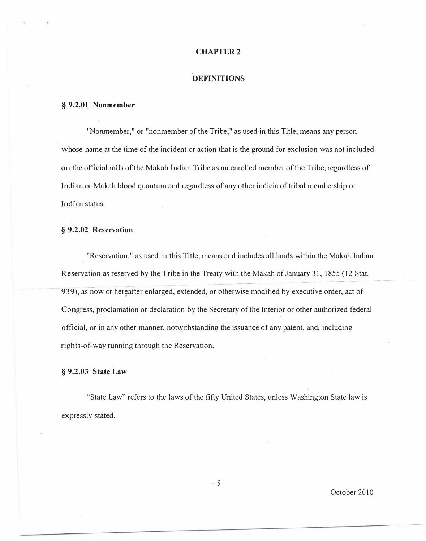# **DEFINITIONS**

#### **§ 9.2.01 Nonmember**

"Nonmember," or "nonmember of the Tribe," as used in this Title, means any person whose name at the time of the incident or action that is the ground for exclusion was not included on the official rolls of the Makah Indian Tribe as an enrolled member of the Tribe, regardless of Indian or Makah blood quantum and regardless of any other indicia of tribal membership or Indian status.

## **§ 9.2.02 Reservation**

"Reservation," as used in this Title, means and includes all lands within the Makah Indian Reservation as reserved by the Tribe in the Treaty with the Makah of January 31, 1855 (12 Stat. 939), as now or hereafter enlarged, extended, or otherwise modified by executive order, act of Congress, proclamation or declaration by the Secretary of the Interior or other authorized federal official, or in any other manner, notwithstanding the issuance of any patent, and, including rights-of-way running through the Reservation.

# **§ 9.2.03 State Law**

"State Law" refers to the laws of the fifty United States, unless Washington State law is expressly stated.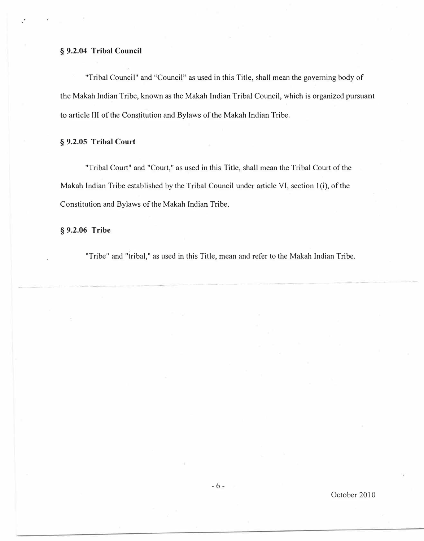# § **9.2.04 Tribal Council**

"Tribal Council" and "Council" as used in this Title, shall mean the governing body of the Makah Indian Tribe, known as the Makah Indian Tribal Council, which is organized pursuant to article III of the Constitution and Bylaws of the Makah Indian Tribe.

# § **9.2.05 Tribal Court**

"Tribal Court" and "Court," as used in this Title, shall mean the Tribal Court of the Makah Indian Tribe established by the Tribal Council under article VI, section 1(i), of the Constitution and Bylaws of the Makah Indian Tribe.

# § **9.2.06 Tribe**

"Tribe" and "tribal," as used in this Title, mean and refer to the Makah Indian Tribe.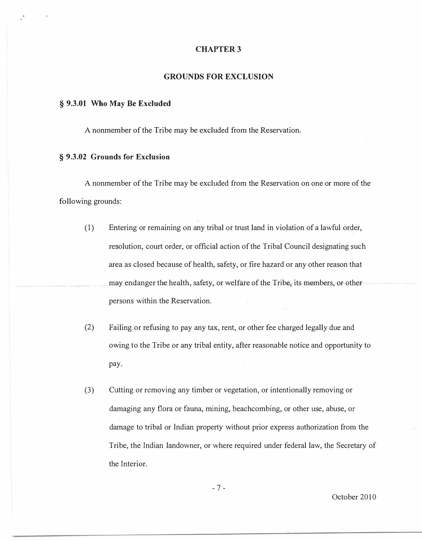#### **GROUNDS FOR EXCLUSION**

#### **§ 9.3.01 Who May Be Excluded**

A nonmember of the Tribe may be excluded from the Reservation.

# **§ 9.3.02 Grounds for Exclusion**

A nonmember of the Tribe may be excluded from the Reservation on one or more of the following grounds:

- (1) Entering or remaining on any tribal or trust land in violation of a lawful order, resolution, court order, or official action of the Tribal Council designating such area as closed because of health, safety, or fire hazard or any other reason that may endanger the health, safety, or welfare of the Tribe, its members, or otherpersons within the Reservation.
- (2) Failing or refusing to pay any tax, rent, or other fee charged legally due and owing to the Tribe or any tribal entity, after reasonable notice and opportunity to pay.
- (3) Cutting or removing any timber or vegetation, or intentionally removing or damaging any flora or fauna, mining, beachcombing, or other use, abuse, or damage to tribal or Indian property without prior express authorization from the Tribe, the Indian landowner, or where required under federal law, the Secretary of the Interior.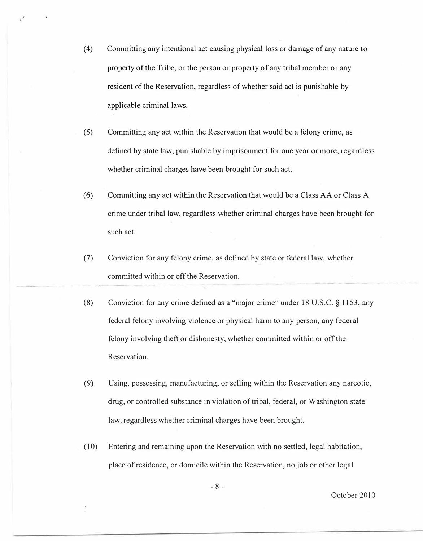- ( 4) Committing any intentional act causing physical loss or damage of any nature to property of the Tribe, or the person or property of any tribal member or any resident of the Reservation, regardless of whether said act is punishable by applicable criminal laws.
- (5) Committing any act within the Reservation that would be a felony crime, as defined by state law, punishable by imprisonment for one year or more, regardless whether criminal charges have been brought for such act.
- (6) Committing any act within the Reservation that would be a Class AA or Class A crime under tribal law, regardless whether criminal charges have been brought for such act.
- (7) Conviction for any felony crime, as defined by state or federal law, whether committed within or off the Reservation.
- (8) Conviction for any crime defined as a "major crime" under 18 U.S.C. *§* 1153, any federal felony involving violence or physical harm to any person, any federal felony involving theft or dishonesty, whether committed within or off the. Reservation.
- (9) Using, possessing, manufacturing, or selling within the Reservation any narcotic, drug, or controlled substance in violation of tribal, federal, or Washington state law, regardless whether criminal charges have been brought.
- ( 10) Entering and remaining upon the Reservation with no settled, legal habitation, place of residence, or domicile within the Reservation, no job or other legal

- 8 -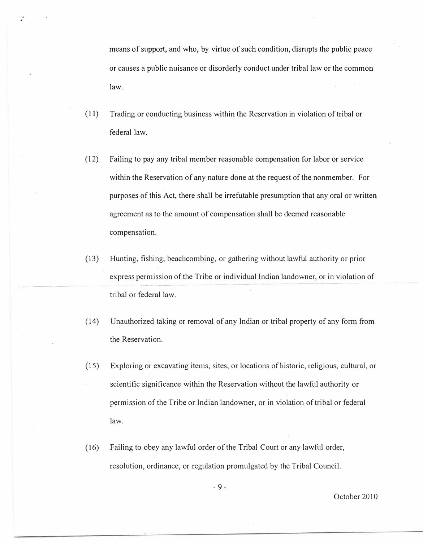means of support, and who, by virtue of such condition, disrupts the public peace or causes a public nuisance or disorderly conduct under tribal law or the common law.

- (11) Trading or conducting business within the Reservation in violation of tribal or federal law.
- (12) Failing to pay any tribal member reasonable compensation for labor or service within the Reservation of any nature done at the request of the nonmember. For purposes of this Act, there shall be irrefutable presumption that any oral or written agreement as to the amount of compensation shall be deemed reasonable compensation.
- (13) Hunting, fishing, beachcombing, or gathering without lawful authority or prior express permission of the Tribe or individual Indian landowner, or in violation of tribal or federal law.
- (14) Unauthorized taking or removal of any Indian or tribal property of any form from the Reservation.
- (15) Exploring or excavating items, sites, or locations of historic, religious, cultural, or scientific significance within the Reservation without the lawful authority or permission of the Tribe or Indian landowner, or in violation of tribal or federal law.
- ( 16) Failing to obey any lawful order of the Tribal Court or any lawful order, resolution, ordinance, or regulation promulgated by the Tribal Council.

- 9 -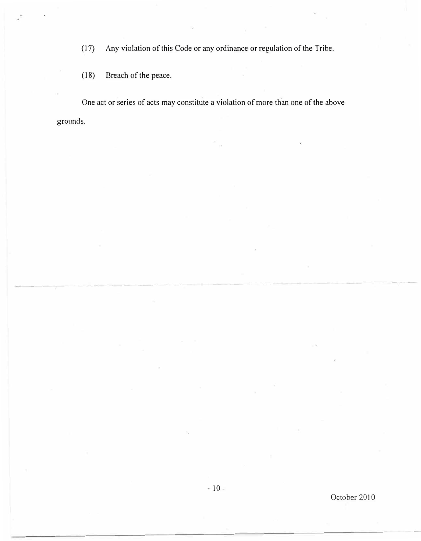(17) Any violation of this Code or any ordinance or regulation of the Tribe.

(18) Breach of the peace.

One act or series of acts may constitute a violation of more than one of the above grounds.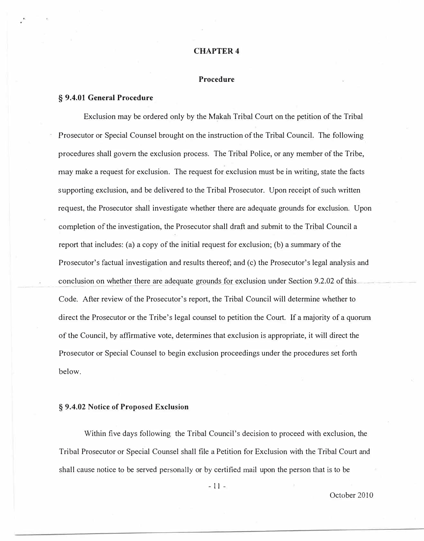# **Procedure**

#### **§ 9.4.01 General Procedure**

Exclusion may be ordered only by the Makah Tribal Court on the petition of the Tribal Prosecutor or Special Counsel brought on the instruction of the Tribal Council. The following procedures shall govern the exclusion process. The Tribal Police, or any member of the Tribe, may make a request for exclusion. The request for exclusion must be in writing, state the facts supporting exclusion, and be delivered to the Tribal Prosecutor. Upon receipt of such written request, the Prosecutor shall investigate whether there are adequate grounds for exclusion. Upon completion of the investigation, the Prosecutor shall draft and submit to the Tribal Council a report that includes: (a) a copy of the initial request for exclusion; (b) a summary of the Prosecutor's factual investigation and results thereof; and (c) the Prosecutor's legal analysis and conclusion on whether there are adequate grounds for exclusion under Section 9.2.02 of this Code. After review of the Prosecutor's report, the Tribal Council will determine whether to direct the Prosecutor or the Tribe's legal counsel to petition the Court. If a majority of a quorum of the Council, by affirmative vote, determines that exclusion is appropriate, it will direct the Prosecutor or Special Counsel to begin exclusion proceedings under the procedures set forth below.

## **§ 9.4.02 Notice of Proposed Exclusion**

Within five days following the Tribal Council's decision to proceed with exclusion, the Tribal Prosecutor or Special Counsel shall file a Petition for Exclusion with the Tribal Court and shall cause notice to be served personally or by certified mail upon the person that is to be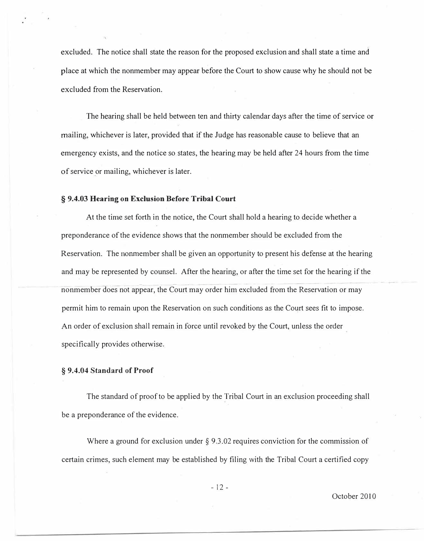excluded. The notice shall state the reason for the proposed exclusion and shall state a time and place at which the nonmember may appear before the Court to show cause why he should not be excluded from the Reservation.

The hearing shall be held between ten and thirty calendar days after the time of service or mailing, whichever is later, provided that if the Judge has reasonable cause to believe that an emergency exists, and the notice so states, the hearing may be held after 24 hours from the time of service or mailing, whichever is later.

## **§ 9.4.03 Hearing on Exclusion Before Tribal Court**

At the time set forth in the notice, the Court shall hold a hearing to decide whether a preponderance of the evidence shows that the nonmember should be excluded from the Reservation. The nonmember shall be given an opportunity to present his defense at the hearing and may be represented by counsel. After the hearing, or after the time set for the hearing if the - nonmember does not appear, the Court may order him excluded from the Reservation or may permit him to remain upon the Reservation on such conditions as the Court sees fit to impose. An order of exclusion shall remain in force until revoked by the Court, unless the order specifically provides otherwise.

# **§ 9.4.04 Standard of Proof**

The standard of proof to be applied by the Tribal Court in an exclusion proceeding shall be a preponderance of the evidence.

Where a ground for exclusion under  $\S 9.3.02$  requires conviction for the commission of certain crimes, such element may be established by filing with the Tribal Court a certified copy

- 12 -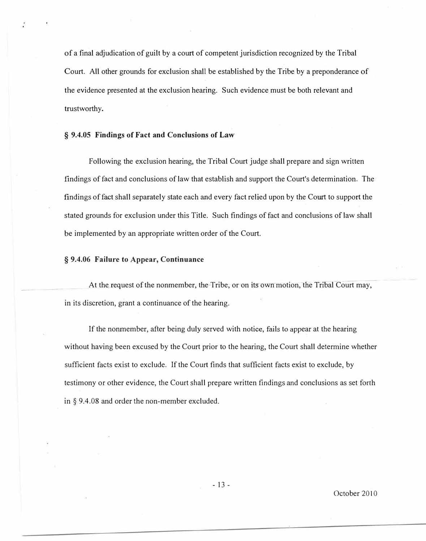of a final adjudication of guilt by a court of competent jurisdiction recognized by the Tribal Court. All other grounds for exclusion shall be established by the Tribe by a preponderance of the evidence presented at the exclusion hearing. Such evidence must be both relevant and trustworthy.

## **§ 9.4.05 Findings of Fact and Conclusions of Law**

Following the exclusion hearing, the Tribal Court judge shall prepare and sign written findings of fact and conclusions of law that establish and support the Court's determination. The findings of fact shall separately state each and every fact relied upon by the Court to support the stated grounds for exclusion under this Title. Such findings of fact and conclusions of law shall be implemented by an appropriate written order of the Court.

## **§ 9.4.06 Failure to Appear, Continuance**

At the request of the nonmember, the Tribe, or on its own motion, the Tribal Court may, in its discretion, grant a continuance of the hearing.

If the nonmember, after being duly served with notice, fails to appear at the hearing without having been excused by the Court prior to the hearing, the Court shall determine whether sufficient facts exist to exclude. If the Court finds that sufficient facts exist to exclude, by testimony or other evidence, the Court shall prepare written findings and conclusions as set forth in § 9.4.08 and order the non-member excluded.

- 13 -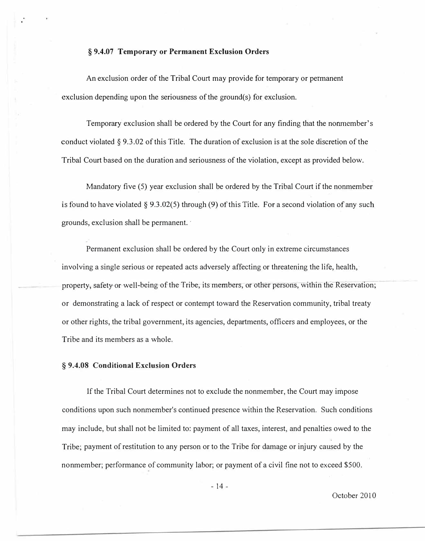## **§ 9.4.07 Temporary or Permanent Exclusion Orders**

An exclusion order of the Tribal Court may provide for temporary or permanent exclusion depending upon the seriousness of the ground(s) for exclusion.

Temporary exclusion shall be ordered by the Court for any finding that the nonmember's conduct violated  $\S 9.3.02$  of this Title. The duration of exclusion is at the sole discretion of the Tribal Court based on the duration and seriousness of the violation, except as provided below.

Mandatory five (5) year exclusion shall be ordered by the Tribal Court if the nonmember is found to have violated § 9.3.02(5) through (9) of this Title. For a second violation of any such grounds, exclusion shall be permanent.·

Permanent exclusion shall be ordered by the Court only in extreme circumstances involving a single serious or repeated acts adversely affecting or threatening the life, health, property, safety or well-being of the Tribe, its members, or other persons, within the Reservation; or demonstrating a lack of respect or contempt toward the Reservation community, tribal treaty or other rights, the tribal government, its agencies, departments, officers and employees, or the Tribe and its members as a whole.

#### **§ 9.4.08 Conditional Exclusion Orders**

If the Tribal Court determines not to exclude the nonmember, the Court may impose conditions upon such nonmember's continued presence within the Reservation. Such conditions may include, but shall not be limited to: payment of all taxes, interest, and penalties owed to the Tribe; payment of restitution to any person or to the Tribe for damage or injury caused by the nonmember; performance of community labor; or payment of a civil fine not to exceed \$500.

- 14 -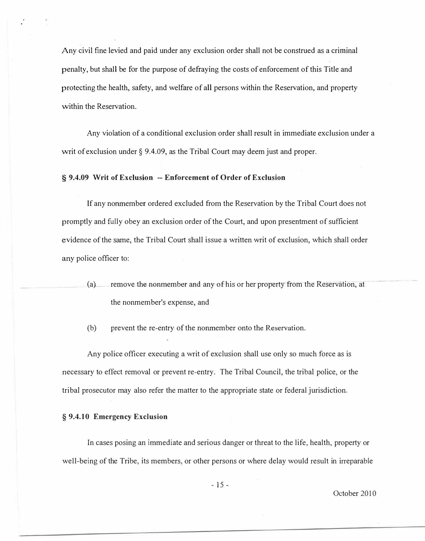Any civil fine levied and paid under any exclusion order shall not be construed as a criminal penalty, but shall be for the purpose of defraying the costs of enforcement of this Title and protecting the health, safety, and welfare of all persons within the Reservation, and property within the Reservation.

Any violation of a conditional exclusion order shall result in immediate exclusion under a writ of exclusion under § 9.4.09, as the Tribal Court may deem just and proper.

# **§ 9.4.09 Writ of Exclusion -- Enforcement of Order of Exclusion**

If any nonmember ordered excluded from the Reservation by the Tribal Court does not promptly and fully obey an exclusion order of the Court, and upon presentment of sufficient evidence of the same, the Tribal Court shall issue a written writ of exclusion, which shall order any police officer to:

(a) remove the nonmember and any of his or her property from the Reservation, at the nonmember's expense, and

(b) prevent the re-entry of the nonmember onto the Reservation.

Any police officer executing a writ of exclusion shall use only so much force as is necessary to effect removal or prevent re-entry. The Tribal Council, the tribal police, or the tribal prosecutor may also refer the matter to the appropriate state or federal jurisdiction.

# **§ 9.4.10 Emergency Exclusion**

In cases posing an immediate and serious danger or threat to the life, health, property or well-being of the Tribe, its members, or other persons or where delay would result in irreparable

- 15 -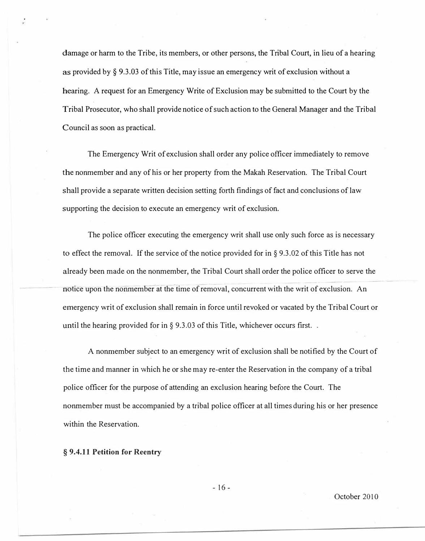damage or harm to the Tribe, its members, or other persons, the Tribal Court, in lieu of a hearing as provided by§ 9.3.03 of this Title, may issue an emergency writ of exclusion without a hearing. A request for an Emergency Write of Exclusion may be submitted to the Court by the Tribal Prosecutor, who shall provide notice of such action to the General Manager and the Tribal Council as soon as practical.

The Emergency Writ of exclusion shall order any police officer immediately to remove the nonmember and any of his or her property from the Makah Reservation. The Tribal Court shall provide a separate written decision setting forth findings of fact and conclusions of law supporting the decision to execute an emergency writ of exclusion.

The police officer executing the emergency writ shall use only such force as is necessary to effect the removal. If the service of the notice provided for in§ 9.3.02 of this Title has not already been made on the nonmember, the Tribal Court shall order the police officer to serve the notice upon the nonmember at the time of removal, concurrent with the writ of exclusion. An emergency writ of exclusion shall remain in force until revoked or vacated by the Tribal Court or until the hearing provided for in  $\S$  9.3.03 of this Title, whichever occurs first...

A nonmember subject to an emergency writ of exclusion shall be notified by the Court of the time and manner in which he or she may re-enter the Reservation in the company of a tribal police officer for the purpose of attending an exclusion hearing before the Court. The nonmember must be accompanied by a tribal police officer at all times during his or her presence within the Reservation.

## **§ 9.4.11 Petition for Reentry**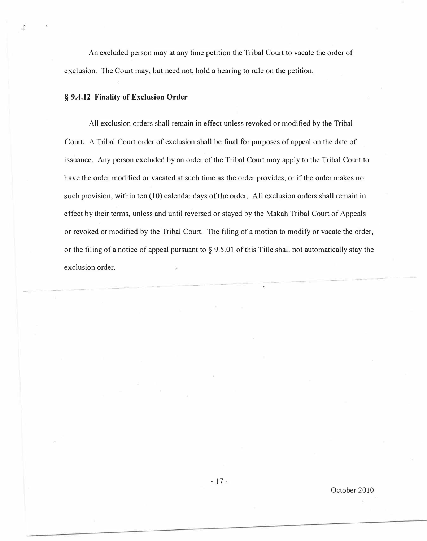An excluded person may at any time petition the Tribal Court to vacate. the order of exclusion. The Court may, but need not, hold a hearing to rule on the petition.

#### **§ 9.4.12 Finality of Exclusion Order**

All exclusion orders shall remain in effect unless revoked or modified by the Tribal Court. A Tribal Court order of exclusion shall be final for purposes of appeal on the date of issuance. Any person excluded by an order of the Tribal Court may apply to the Tribal Court to have the order modified or vacated at such time as the order provides, or if the order makes no such provision, within ten (10) calendar days of the order. All exclusion orders shall remain in effect by their terms, unless and until reversed or stayed by the Makah Tribal Court of Appeals or revoked or modified by the Tribal Court. The filing of a motion to modify or vacate the order, or the filing of a notice of appeal pursuant to  $\S$  9.5.01 of this Title shall not automatically stay the exclusion order.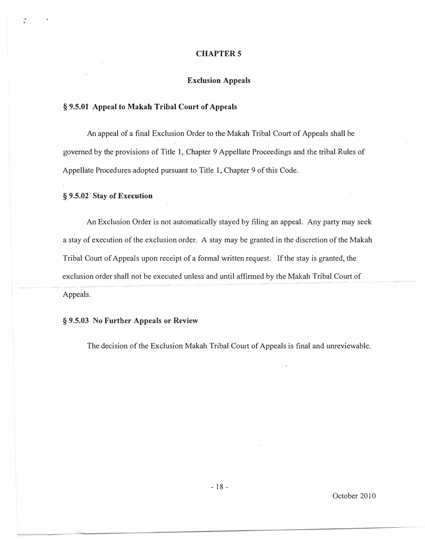# **Exclusion Appeals**

# **§ 9.5.01 Appeal to Makah Tribal Court of Appeals**

An appeal of a final Exclusion Order to the Makah Tribal Court of Appeals shall be governed by the provisions of Title 1, Chapter 9 Appellate Proceedings and the tribal Rules of Appellate Procedures adopted pursuant to Title 1, Chapter 9 of this Code.

# **§ 9.5.02 Stay of Execution**

An Exclusion Order is not automatically stayed by filing an appeal. Any party may seek a stay of execution of the exclusion order. A stay may be granted in the discretion of the Makah Tribal Court of Appeals upon receipt of a formal written request. If the stay is granted, the exclusion order shall not be executed unless and until affirmed by the Makah Tribal Court of Appeals.

# **§ 9.5.03 No Further Appeals or Review**

The decision of the Exclusion Makah Tribal Court of Appeals is final and unreviewable.